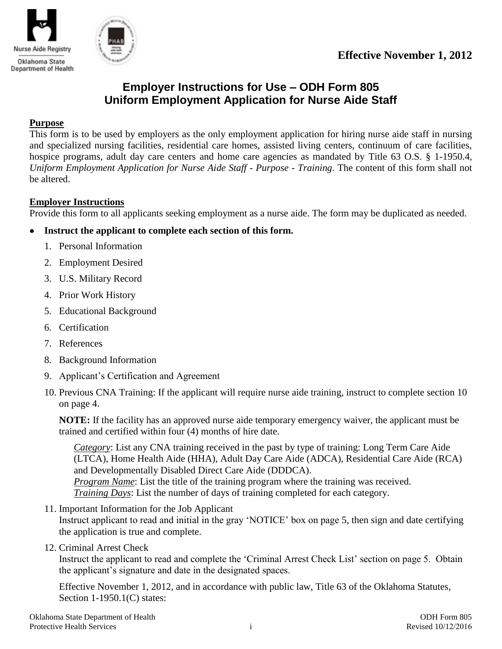



# **Employer Instructions for Use – ODH Form 805 Uniform Employment Application for Nurse Aide Staff**

### **Purpose**

This form is to be used by employers as the only employment application for hiring nurse aide staff in nursing and specialized nursing facilities, residential care homes, assisted living centers, continuum of care facilities, hospice programs, adult day care centers and home care agencies as mandated by Title 63 O.S. § 1-1950.4, *Uniform Employment Application for Nurse Aide Staff - Purpose - Training*. The content of this form shall not be altered.

### **Employer Instructions**

Provide this form to all applicants seeking employment as a nurse aide. The form may be duplicated as needed.

- **Instruct the applicant to complete each section of this form.**   $\bullet$ 
	- 1. Personal Information
	- 2. Employment Desired
	- 3. U.S. Military Record
	- 4. Prior Work History
	- 5. Educational Background
	- 6. Certification
	- 7. References
	- 8. Background Information
	- 9. Applicant"s Certification and Agreement
	- 10. Previous CNA Training: If the applicant will require nurse aide training, instruct to complete section 10 on page 4.

**NOTE:** If the facility has an approved nurse aide temporary emergency waiver, the applicant must be trained and certified within four (4) months of hire date.

*Category*: List any CNA training received in the past by type of training: Long Term Care Aide (LTCA), Home Health Aide (HHA), Adult Day Care Aide (ADCA), Residential Care Aide (RCA) and Developmentally Disabled Direct Care Aide (DDDCA). *Program Name*: List the title of the training program where the training was received. *Training Days*: List the number of days of training completed for each category.

11. Important Information for the Job Applicant

Instruct applicant to read and initial in the gray "NOTICE" box on page 5, then sign and date certifying the application is true and complete.

12. Criminal Arrest Check

Instruct the applicant to read and complete the "Criminal Arrest Check List" section on page 5. Obtain the applicant"s signature and date in the designated spaces.

Effective November 1, 2012, and in accordance with public law, Title 63 of the Oklahoma Statutes, Section 1-1950.1(C) states: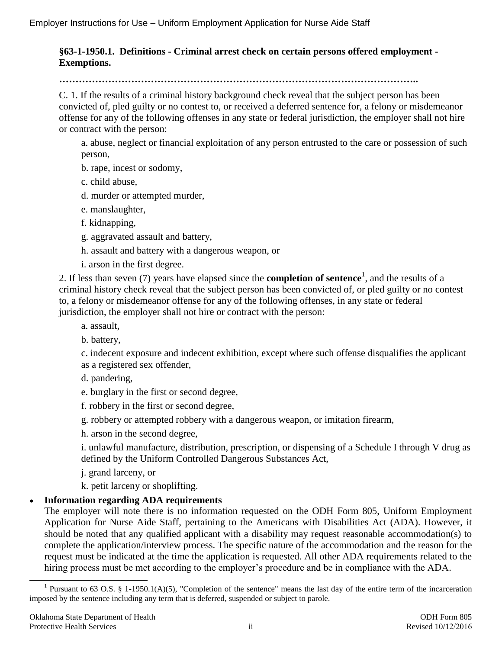## **§63-1-1950.1. Definitions - Criminal arrest check on certain persons offered employment - Exemptions.**

### **………………………………………………………………………………………………..**

C. 1. If the results of a criminal history background check reveal that the subject person has been convicted of, pled guilty or no contest to, or received a deferred sentence for, a felony or misdemeanor offense for any of the following offenses in any state or federal jurisdiction, the employer shall not hire or contract with the person:

a. abuse, neglect or financial exploitation of any person entrusted to the care or possession of such person,

b. rape, incest or sodomy,

c. child abuse,

d. murder or attempted murder,

e. manslaughter,

f. kidnapping,

g. aggravated assault and battery,

h. assault and battery with a dangerous weapon, or

i. arson in the first degree.

2. If less than seven (7) years have elapsed since the **completion of sentence**<sup>1</sup> , and the results of a criminal history check reveal that the subject person has been convicted of, or pled guilty or no contest to, a felony or misdemeanor offense for any of the following offenses, in any state or federal jurisdiction, the employer shall not hire or contract with the person:

a. assault,

b. battery,

c. indecent exposure and indecent exhibition, except where such offense disqualifies the applicant as a registered sex offender,

d. pandering,

e. burglary in the first or second degree,

f. robbery in the first or second degree,

g. robbery or attempted robbery with a dangerous weapon, or imitation firearm,

h. arson in the second degree,

i. unlawful manufacture, distribution, prescription, or dispensing of a Schedule I through V drug as defined by the Uniform Controlled Dangerous Substances Act,

j. grand larceny, or

k. petit larceny or shoplifting.

## **Information regarding ADA requirements**

The employer will note there is no information requested on the ODH Form 805, Uniform Employment Application for Nurse Aide Staff, pertaining to the Americans with Disabilities Act (ADA). However, it should be noted that any qualified applicant with a disability may request reasonable accommodation(s) to complete the application/interview process. The specific nature of the accommodation and the reason for the request must be indicated at the time the application is requested. All other ADA requirements related to the hiring process must be met according to the employer's procedure and be in compliance with the ADA.

 $\bullet$ 

<sup>&</sup>lt;sup>1</sup> Pursuant to 63 O.S. § 1-1950.1(A)(5), "Completion of the sentence" means the last day of the entire term of the incarceration imposed by the sentence including any term that is deferred, suspended or subject to parole.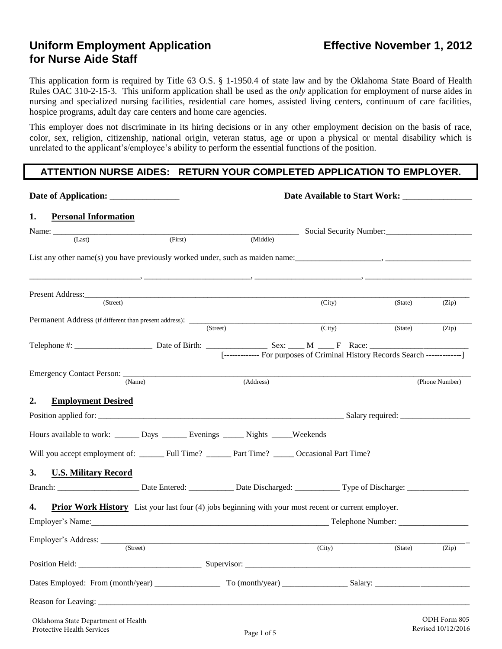## **Uniform Employment Application <b>Effective November 1, 2012 for Nurse Aide Staff**

This application form is required by Title 63 O.S. § 1-1950.4 of state law and by the Oklahoma State Board of Health Rules OAC 310-2-15-3. This uniform application shall be used as the *only* application for employment of nurse aides in nursing and specialized nursing facilities, residential care homes, assisted living centers, continuum of care facilities, hospice programs, adult day care centers and home care agencies.

This employer does not discriminate in its hiring decisions or in any other employment decision on the basis of race, color, sex, religion, citizenship, national origin, veteran status, age or upon a physical or mental disability which is unrelated to the applicant's/employee's ability to perform the essential functions of the position.

## **ATTENTION NURSE AIDES: RETURN YOUR COMPLETED APPLICATION TO EMPLOYER.**

| 1.<br><b>Personal Information</b>                                                     |                                                                                                             |                                                                                                                       |                         |         |                                    |  |  |
|---------------------------------------------------------------------------------------|-------------------------------------------------------------------------------------------------------------|-----------------------------------------------------------------------------------------------------------------------|-------------------------|---------|------------------------------------|--|--|
|                                                                                       |                                                                                                             |                                                                                                                       | Social Security Number: |         |                                    |  |  |
| (Last)                                                                                | (First)                                                                                                     | (Middle)                                                                                                              |                         |         |                                    |  |  |
|                                                                                       | <u> 2008 - Paris Amerikaanse Amerikaanse kommunister († 2008).</u>                                          |                                                                                                                       |                         |         |                                    |  |  |
| (Street)                                                                              |                                                                                                             |                                                                                                                       | (City)                  | (State) | (Zip)                              |  |  |
|                                                                                       |                                                                                                             |                                                                                                                       |                         |         |                                    |  |  |
|                                                                                       |                                                                                                             | $\overline{\text{(Street)}}$                                                                                          |                         |         |                                    |  |  |
|                                                                                       |                                                                                                             |                                                                                                                       | (City)                  | (State) | (Zip)                              |  |  |
|                                                                                       |                                                                                                             | [------------- For purposes of Criminal History Records Search -------------]                                         |                         |         |                                    |  |  |
|                                                                                       | (Name)                                                                                                      | (Address)                                                                                                             |                         |         | (Phone Number)                     |  |  |
| <b>Employment Desired</b><br>2.                                                       |                                                                                                             |                                                                                                                       |                         |         |                                    |  |  |
|                                                                                       |                                                                                                             |                                                                                                                       |                         |         |                                    |  |  |
| Hours available to work: ________ Days ________ Evenings _______ Nights _____Weekends |                                                                                                             |                                                                                                                       |                         |         |                                    |  |  |
|                                                                                       |                                                                                                             |                                                                                                                       |                         |         |                                    |  |  |
| 3.<br><b>U.S. Military Record</b>                                                     |                                                                                                             |                                                                                                                       |                         |         |                                    |  |  |
| 4.                                                                                    | <b>Prior Work History</b> List your last four (4) jobs beginning with your most recent or current employer. |                                                                                                                       |                         |         |                                    |  |  |
| Employer's Name: Telephone Number: Telephone Number:                                  |                                                                                                             |                                                                                                                       |                         |         |                                    |  |  |
| Employer's Address:                                                                   |                                                                                                             | <u> 1989 - Johann Harry Harry Harry Harry Harry Harry Harry Harry Harry Harry Harry Harry Harry Harry Harry Harry</u> |                         |         |                                    |  |  |
|                                                                                       | (Street)                                                                                                    |                                                                                                                       | (City)                  | (State) | (Zip)                              |  |  |
|                                                                                       |                                                                                                             |                                                                                                                       |                         |         |                                    |  |  |
|                                                                                       |                                                                                                             |                                                                                                                       |                         |         |                                    |  |  |
|                                                                                       |                                                                                                             |                                                                                                                       |                         |         |                                    |  |  |
| Oklahoma State Department of Health<br>Protective Health Services                     |                                                                                                             | Page 1 of 5                                                                                                           |                         |         | ODH Form 805<br>Revised 10/12/2016 |  |  |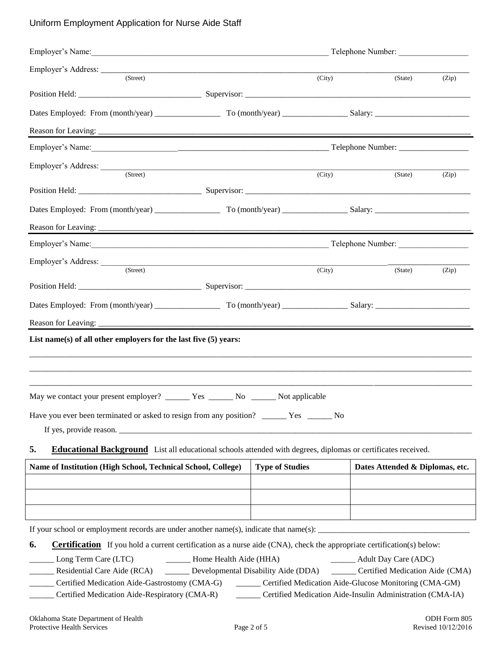### Uniform Employment Application for Nurse Aide Staff

| (Street)                                                                                                                   |  |                        | (City)              | (State)                         | (Zip) |  |
|----------------------------------------------------------------------------------------------------------------------------|--|------------------------|---------------------|---------------------------------|-------|--|
|                                                                                                                            |  |                        |                     |                                 |       |  |
|                                                                                                                            |  |                        |                     |                                 |       |  |
|                                                                                                                            |  |                        |                     |                                 |       |  |
|                                                                                                                            |  |                        |                     |                                 |       |  |
| Employer's Address: (Street)                                                                                               |  |                        | $\overline{(City)}$ | (State)                         | (Zip) |  |
|                                                                                                                            |  |                        |                     |                                 |       |  |
|                                                                                                                            |  |                        |                     |                                 |       |  |
|                                                                                                                            |  |                        |                     |                                 |       |  |
|                                                                                                                            |  |                        |                     |                                 |       |  |
|                                                                                                                            |  |                        |                     |                                 |       |  |
| Employer's Address:<br>(Street)                                                                                            |  |                        |                     |                                 |       |  |
|                                                                                                                            |  |                        | (City)              | (State)                         | (Zip) |  |
|                                                                                                                            |  |                        |                     |                                 |       |  |
|                                                                                                                            |  |                        |                     |                                 |       |  |
|                                                                                                                            |  |                        |                     |                                 |       |  |
| List name(s) of all other employers for the last five $(5)$ years:                                                         |  |                        |                     |                                 |       |  |
|                                                                                                                            |  |                        |                     |                                 |       |  |
|                                                                                                                            |  |                        |                     |                                 |       |  |
|                                                                                                                            |  |                        |                     |                                 |       |  |
|                                                                                                                            |  |                        |                     |                                 |       |  |
|                                                                                                                            |  |                        |                     |                                 |       |  |
| If yes, provide reason.                                                                                                    |  |                        |                     |                                 |       |  |
| 5.<br><b>Educational Background</b> List all educational schools attended with degrees, diplomas or certificates received. |  |                        |                     |                                 |       |  |
| Name of Institution (High School, Technical School, College)                                                               |  | <b>Type of Studies</b> |                     | Dates Attended & Diplomas, etc. |       |  |
|                                                                                                                            |  |                        |                     |                                 |       |  |
|                                                                                                                            |  |                        |                     |                                 |       |  |
|                                                                                                                            |  |                        |                     |                                 |       |  |
| If your school or employment records are under another name(s), indicate that $name(s)$ :                                  |  |                        |                     |                                 |       |  |

**6.** Certification If you hold a current certification as a nurse aide (CNA), check the appropriate certification(s) below:

\_\_\_\_\_\_ Long Term Care (LTC) \_\_\_\_\_\_ Home Health Aide (HHA) \_\_\_\_\_\_ Adult Day Care (ADC)

Residential Care Aide (RCA) \_\_\_\_\_\_ Developmental Disability Aide (DDA) \_\_\_\_\_\_ Certified Medication Aide (CMA)

\_\_\_\_\_\_ Certified Medication Aide-Gastrostomy (CMA-G) \_\_\_\_\_\_ Certified Medication Aide-Glucose Monitoring (CMA-GM)

\_\_\_\_\_\_ Certified Medication Aide-Respiratory (CMA-R) \_\_\_\_\_\_ Certified Medication Aide-Insulin Administration (CMA-IA)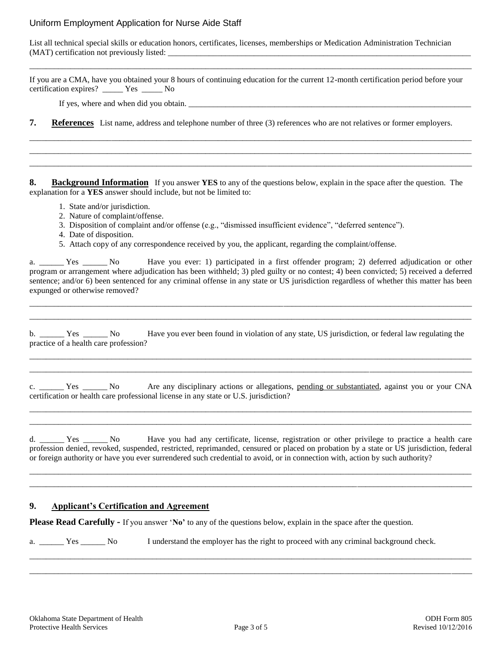#### Uniform Employment Application for Nurse Aide Staff

List all technical special skills or education honors, certificates, licenses, memberships or Medication Administration Technician (MAT) certification not previously listed: \_\_\_\_\_\_\_\_\_\_\_\_\_\_\_\_\_\_\_\_\_\_\_\_\_\_\_\_\_\_\_\_\_\_\_\_\_\_\_\_\_\_\_\_\_\_\_\_\_\_\_\_\_\_\_\_\_\_\_\_\_\_\_\_\_\_\_\_\_\_\_\_\_\_

If you are a CMA, have you obtained your 8 hours of continuing education for the current 12-month certification period before your certification expires? \_\_\_\_\_ Yes \_\_\_\_\_ No

\_\_\_\_\_\_\_\_\_\_\_\_\_\_\_\_\_\_\_\_\_\_\_\_\_\_\_\_\_\_\_\_\_\_\_\_\_\_\_\_\_\_\_\_\_\_\_\_\_\_\_\_\_\_\_\_\_\_\_\_\_\_\_\_\_\_\_\_\_\_\_\_\_\_\_\_\_\_\_\_\_\_\_\_\_\_\_\_\_\_\_\_\_\_\_\_\_\_\_\_\_\_\_\_\_\_\_\_

If yes, where and when did you obtain. \_\_\_\_\_\_\_\_\_\_\_\_\_\_\_\_\_\_\_\_\_\_\_\_\_\_\_\_\_\_\_\_\_\_\_\_\_\_\_\_\_\_\_\_\_\_\_\_\_\_\_\_\_\_\_\_\_\_\_\_\_\_\_\_\_\_\_\_\_

**7.** References List name, address and telephone number of three (3) references who are not relatives or former employers.

\_\_\_\_\_\_\_\_\_\_\_\_\_\_\_\_\_\_\_\_\_\_\_\_\_\_\_\_\_\_\_\_\_\_\_\_\_\_\_\_\_\_\_\_\_\_\_\_\_\_\_\_\_\_\_\_\_\_\_\_\_\_\_\_\_\_\_\_\_\_\_\_\_\_\_\_\_\_\_\_\_\_\_\_\_\_\_\_\_\_\_\_\_\_\_\_\_\_\_\_\_\_\_\_\_\_\_\_ \_\_\_\_\_\_\_\_\_\_\_\_\_\_\_\_\_\_\_\_\_\_\_\_\_\_\_\_\_\_\_\_\_\_\_\_\_\_\_\_\_\_\_\_\_\_\_\_\_\_\_\_\_\_\_\_\_\_\_\_\_\_\_\_\_\_\_\_\_\_\_\_\_\_\_\_\_\_\_\_\_\_\_\_\_\_\_\_\_\_\_\_\_\_\_\_\_\_\_\_\_\_\_\_\_\_\_\_ \_\_\_\_\_\_\_\_\_\_\_\_\_\_\_\_\_\_\_\_\_\_\_\_\_\_\_\_\_\_\_\_\_\_\_\_\_\_\_\_\_\_\_\_\_\_\_\_\_\_\_\_\_\_\_\_\_\_\_\_\_\_\_\_\_\_\_\_\_\_\_\_\_\_\_\_\_\_\_\_\_\_\_\_\_\_\_\_\_\_\_\_\_\_\_\_\_\_\_\_\_\_\_\_\_\_\_\_

**8. Background Information** If you answer **YES** to any of the questions below, explain in the space after the question. The explanation for a **YES** answer should include, but not be limited to:

- 1. State and/or jurisdiction.
- 2. Nature of complaint/offense.
- 3. Disposition of complaint and/or offense (e.g., "dismissed insufficient evidence", "deferred sentence").
- 4. Date of disposition.
- 5. Attach copy of any correspondence received by you, the applicant, regarding the complaint/offense.

a. \_\_\_\_\_\_ Yes \_\_\_\_\_\_ No Have you ever: 1) participated in a first offender program; 2) deferred adjudication or other program or arrangement where adjudication has been withheld; 3) pled guilty or no contest; 4) been convicted; 5) received a deferred sentence; and/or 6) been sentenced for any criminal offense in any state or US jurisdiction regardless of whether this matter has been expunged or otherwise removed?

\_\_\_\_\_\_\_\_\_\_\_\_\_\_\_\_\_\_\_\_\_\_\_\_\_\_\_\_\_\_\_\_\_\_\_\_\_\_\_\_\_\_\_\_\_\_\_\_\_\_\_\_\_\_\_\_\_\_\_\_\_\_\_\_\_\_\_\_\_\_\_\_\_\_\_\_\_\_\_\_\_\_\_\_\_\_\_\_\_\_\_\_\_\_\_\_\_\_\_\_\_\_\_\_\_\_\_\_ \_\_\_\_\_\_\_\_\_\_\_\_\_\_\_\_\_\_\_\_\_\_\_\_\_\_\_\_\_\_\_\_\_\_\_\_\_\_\_\_\_\_\_\_\_\_\_\_\_\_\_\_\_\_\_\_\_\_\_\_\_\_\_\_\_\_\_\_\_\_\_\_\_\_\_\_\_\_\_\_\_\_\_\_\_\_\_\_\_\_\_\_\_\_\_\_\_\_\_\_\_\_\_\_\_\_\_\_

b. \_\_\_\_\_\_ Yes \_\_\_\_\_\_ No Have you ever been found in violation of any state, US jurisdiction, or federal law regulating the practice of a health care profession?

\_\_\_\_\_\_\_\_\_\_\_\_\_\_\_\_\_\_\_\_\_\_\_\_\_\_\_\_\_\_\_\_\_\_\_\_\_\_\_\_\_\_\_\_\_\_\_\_\_\_\_\_\_\_\_\_\_\_\_\_\_\_\_\_\_\_\_\_\_\_\_\_\_\_\_\_\_\_\_\_\_\_\_\_\_\_\_\_\_\_\_\_\_\_\_\_\_\_\_\_\_\_\_\_\_\_\_\_ \_\_\_\_\_\_\_\_\_\_\_\_\_\_\_\_\_\_\_\_\_\_\_\_\_\_\_\_\_\_\_\_\_\_\_\_\_\_\_\_\_\_\_\_\_\_\_\_\_\_\_\_\_\_\_\_\_\_\_\_\_\_\_\_\_\_\_\_\_\_\_\_\_\_\_\_\_\_\_\_\_\_\_\_\_\_\_\_\_\_\_\_\_\_\_\_\_\_\_\_\_\_\_\_\_\_\_\_

c. \_\_\_\_\_\_ Yes \_\_\_\_\_\_ No Are any disciplinary actions or allegations, pending or substantiated, against you or your CNA certification or health care professional license in any state or U.S. jurisdiction?

\_\_\_\_\_\_\_\_\_\_\_\_\_\_\_\_\_\_\_\_\_\_\_\_\_\_\_\_\_\_\_\_\_\_\_\_\_\_\_\_\_\_\_\_\_\_\_\_\_\_\_\_\_\_\_\_\_\_\_\_\_\_\_\_\_\_\_\_\_\_\_\_\_\_\_\_\_\_\_\_\_\_\_\_\_\_\_\_\_\_\_\_\_\_\_\_\_\_\_\_\_\_\_\_\_\_\_\_ \_\_\_\_\_\_\_\_\_\_\_\_\_\_\_\_\_\_\_\_\_\_\_\_\_\_\_\_\_\_\_\_\_\_\_\_\_\_\_\_\_\_\_\_\_\_\_\_\_\_\_\_\_\_\_\_\_\_\_\_\_\_\_\_\_\_\_\_\_\_\_\_\_\_\_\_\_\_\_\_\_\_\_\_\_\_\_\_\_\_\_\_\_\_\_\_\_\_\_\_\_\_\_\_\_\_\_\_

d. Yes No Have you had any certificate, license, registration or other privilege to practice a health care profession denied, revoked, suspended, restricted, reprimanded, censured or placed on probation by a state or US jurisdiction, federal or foreign authority or have you ever surrendered such credential to avoid, or in connection with, action by such authority?

\_\_\_\_\_\_\_\_\_\_\_\_\_\_\_\_\_\_\_\_\_\_\_\_\_\_\_\_\_\_\_\_\_\_\_\_\_\_\_\_\_\_\_\_\_\_\_\_\_\_\_\_\_\_\_\_\_\_\_\_\_\_\_\_\_\_\_\_\_\_\_\_\_\_\_\_\_\_\_\_\_\_\_\_\_\_\_\_\_\_\_\_\_\_\_\_\_\_\_\_\_\_\_\_\_\_\_\_ \_\_\_\_\_\_\_\_\_\_\_\_\_\_\_\_\_\_\_\_\_\_\_\_\_\_\_\_\_\_\_\_\_\_\_\_\_\_\_\_\_\_\_\_\_\_\_\_\_\_\_\_\_\_\_\_\_\_\_\_\_\_\_\_\_\_\_\_\_\_\_\_\_\_\_\_\_\_\_\_\_\_\_\_\_\_\_\_\_\_\_\_\_\_\_\_\_\_\_\_\_\_\_\_\_\_\_\_

#### **9. Applicant's Certification and Agreement**

**Please Read Carefully -** If you answer "**No'** to any of the questions below, explain in the space after the question.

a. \_\_\_\_\_\_ Yes \_\_\_\_\_\_ No I understand the employer has the right to proceed with any criminal background check.

\_\_\_\_\_\_\_\_\_\_\_\_\_\_\_\_\_\_\_\_\_\_\_\_\_\_\_\_\_\_\_\_\_\_\_\_\_\_\_\_\_\_\_\_\_\_\_\_\_\_\_\_\_\_\_\_\_\_\_\_\_\_\_\_\_\_\_\_\_\_\_\_\_\_\_\_\_\_\_\_\_\_\_\_\_\_\_\_\_\_\_\_\_\_\_\_\_\_\_\_\_\_\_\_\_\_\_\_ \_\_\_\_\_\_\_\_\_\_\_\_\_\_\_\_\_\_\_\_\_\_\_\_\_\_\_\_\_\_\_\_\_\_\_\_\_\_\_\_\_\_\_\_\_\_\_\_\_\_\_\_\_\_\_\_\_\_\_\_\_\_\_\_\_\_\_\_\_\_\_\_\_\_\_\_\_\_\_\_\_\_\_\_\_\_\_\_\_\_\_\_\_\_\_\_\_\_\_\_\_\_\_\_\_\_\_\_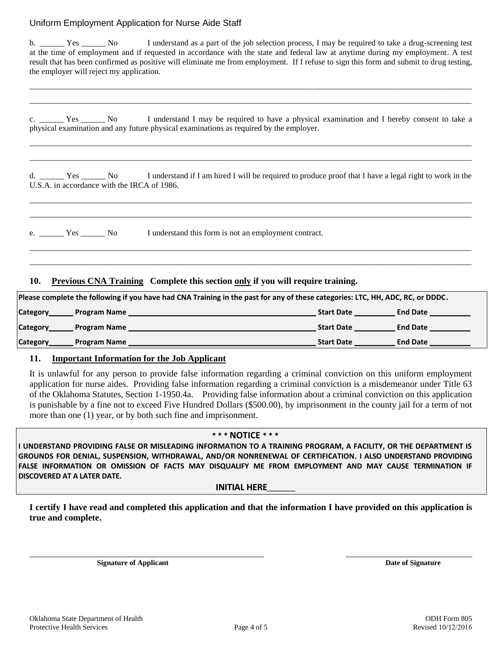#### Uniform Employment Application for Nurse Aide Staff

b. \_\_\_\_\_ Yes \_\_\_\_\_ No I understand as a part of the job selection process, I may be required to take a drug-screening test at the time of employment and if requested in accordance with the state and federal law at anytime during my employment. A test result that has been confirmed as positive will eliminate me from employment. If I refuse to sign this form and submit to drug testing, the employer will reject my application.

\_\_\_\_\_\_\_\_\_\_\_\_\_\_\_\_\_\_\_\_\_\_\_\_\_\_\_\_\_\_\_\_\_\_\_\_\_\_\_\_\_\_\_\_\_\_\_\_\_\_\_\_\_\_\_\_\_\_\_\_\_\_\_\_\_\_\_\_\_\_\_\_\_\_\_\_\_\_\_\_\_\_\_\_\_\_\_\_\_\_\_\_\_\_\_\_\_\_\_\_\_\_\_\_\_\_\_\_ \_\_\_\_\_\_\_\_\_\_\_\_\_\_\_\_\_\_\_\_\_\_\_\_\_\_\_\_\_\_\_\_\_\_\_\_\_\_\_\_\_\_\_\_\_\_\_\_\_\_\_\_\_\_\_\_\_\_\_\_\_\_\_\_\_\_\_\_\_\_\_\_\_\_\_\_\_\_\_\_\_\_\_\_\_\_\_\_\_\_\_\_\_\_\_\_\_\_\_\_\_\_\_\_\_\_\_\_

c. The Yes No I understand I may be required to have a physical examination and I hereby consent to take a physical examination and any future physical examinations as required by the employer.

\_\_\_\_\_\_\_\_\_\_\_\_\_\_\_\_\_\_\_\_\_\_\_\_\_\_\_\_\_\_\_\_\_\_\_\_\_\_\_\_\_\_\_\_\_\_\_\_\_\_\_\_\_\_\_\_\_\_\_\_\_\_\_\_\_\_\_\_\_\_\_\_\_\_\_\_\_\_\_\_\_\_\_\_\_\_\_\_\_\_\_\_\_\_\_\_\_\_\_\_\_\_\_\_\_\_\_\_ \_\_\_\_\_\_\_\_\_\_\_\_\_\_\_\_\_\_\_\_\_\_\_\_\_\_\_\_\_\_\_\_\_\_\_\_\_\_\_\_\_\_\_\_\_\_\_\_\_\_\_\_\_\_\_\_\_\_\_\_\_\_\_\_\_\_\_\_\_\_\_\_\_\_\_\_\_\_\_\_\_\_\_\_\_\_\_\_\_\_\_\_\_\_\_\_\_\_\_\_\_\_\_\_\_\_\_\_

d. \_\_\_\_\_\_ Yes \_\_\_\_\_\_ No I understand if I am hired I will be required to produce proof that I have a legal right to work in the U.S.A. in accordance with the IRCA of 1986.

\_\_\_\_\_\_\_\_\_\_\_\_\_\_\_\_\_\_\_\_\_\_\_\_\_\_\_\_\_\_\_\_\_\_\_\_\_\_\_\_\_\_\_\_\_\_\_\_\_\_\_\_\_\_\_\_\_\_\_\_\_\_\_\_\_\_\_\_\_\_\_\_\_\_\_\_\_\_\_\_\_\_\_\_\_\_\_\_\_\_\_\_\_\_\_\_\_\_\_\_\_\_\_\_\_\_\_\_ \_\_\_\_\_\_\_\_\_\_\_\_\_\_\_\_\_\_\_\_\_\_\_\_\_\_\_\_\_\_\_\_\_\_\_\_\_\_\_\_\_\_\_\_\_\_\_\_\_\_\_\_\_\_\_\_\_\_\_\_\_\_\_\_\_\_\_\_\_\_\_\_\_\_\_\_\_\_\_\_\_\_\_\_\_\_\_\_\_\_\_\_\_\_\_\_\_\_\_\_\_\_\_\_\_\_\_\_

\_\_\_\_\_\_\_\_\_\_\_\_\_\_\_\_\_\_\_\_\_\_\_\_\_\_\_\_\_\_\_\_\_\_\_\_\_\_\_\_\_\_\_\_\_\_\_\_\_\_\_\_\_\_\_\_\_\_\_\_\_\_\_\_\_\_\_\_\_\_\_\_\_\_\_\_\_\_\_\_\_\_\_\_\_\_\_\_\_\_\_\_\_\_\_\_\_\_\_\_\_\_\_\_\_\_\_\_ \_\_\_\_\_\_\_\_\_\_\_\_\_\_\_\_\_\_\_\_\_\_\_\_\_\_\_\_\_\_\_\_\_\_\_\_\_\_\_\_\_\_\_\_\_\_\_\_\_\_\_\_\_\_\_\_\_\_\_\_\_\_\_\_\_\_\_\_\_\_\_\_\_\_\_\_\_\_\_\_\_\_\_\_\_\_\_\_\_\_\_\_\_\_\_\_\_\_\_\_\_\_\_\_\_\_\_\_

e. \_\_\_\_\_\_ Yes \_\_\_\_\_\_ No I understand this form is not an employment contract.

#### **10. Previous CNA Training Complete this section only if you will require training.**

| Please complete the following if you have had CNA Training in the past for any of these categories: LTC, HH, ADC, RC, or DDDC. |                     |                   |                 |  |  |  |
|--------------------------------------------------------------------------------------------------------------------------------|---------------------|-------------------|-----------------|--|--|--|
| Category                                                                                                                       | <b>Program Name</b> | <b>Start Date</b> | <b>End Date</b> |  |  |  |
| Category                                                                                                                       | <b>Program Name</b> | <b>Start Date</b> | <b>End Date</b> |  |  |  |
| Category                                                                                                                       | <b>Program Name</b> | <b>Start Date</b> | <b>End Date</b> |  |  |  |

#### **11. Important Information for the Job Applicant**

It is unlawful for any person to provide false information regarding a criminal conviction on this uniform employment application for nurse aides. Providing false information regarding a criminal conviction is a misdemeanor under Title 63 of the Oklahoma Statutes, Section 1-1950.4a. Providing false information about a criminal conviction on this application is punishable by a fine not to exceed Five Hundred Dollars (\$500.00), by imprisonment in the county jail for a term of not more than one (1) year, or by both such fine and imprisonment.

#### **\* \* \* NOTICE \* \* \***

**I UNDERSTAND PROVIDING FALSE OR MISLEADING INFORMATION TO A TRAINING PROGRAM, A FACILITY, OR THE DEPARTMENT IS GROUNDS FOR DENIAL, SUSPENSION, WITHDRAWAL, AND/OR NONRENEWAL OF CERTIFICATION. I ALSO UNDERSTAND PROVIDING FALSE INFORMATION OR OMISSION OF FACTS MAY DISQUALIFY ME FROM EMPLOYMENT AND MAY CAUSE TERMINATION IF DISCOVERED AT A LATER DATE.** 

#### **INITIAL HERE**

**I certify I have read and completed this application and that the information I have provided on this application is true and complete.** 

\_\_\_\_\_\_\_\_\_\_\_\_\_\_\_\_\_\_\_\_\_\_\_\_\_\_\_\_\_\_\_\_\_\_\_\_\_\_\_\_\_\_\_\_\_\_\_\_\_\_\_\_ \_\_\_\_\_\_\_\_\_\_\_\_\_\_\_\_\_\_\_\_\_\_\_\_\_\_\_\_

**Signature of Applicant Contract Contract Contract Contract Contract Contract Contract Contract Contract Contract Contract Contract Contract Contract Contract Contract Contract Contract Contract Contract Contract Contract**